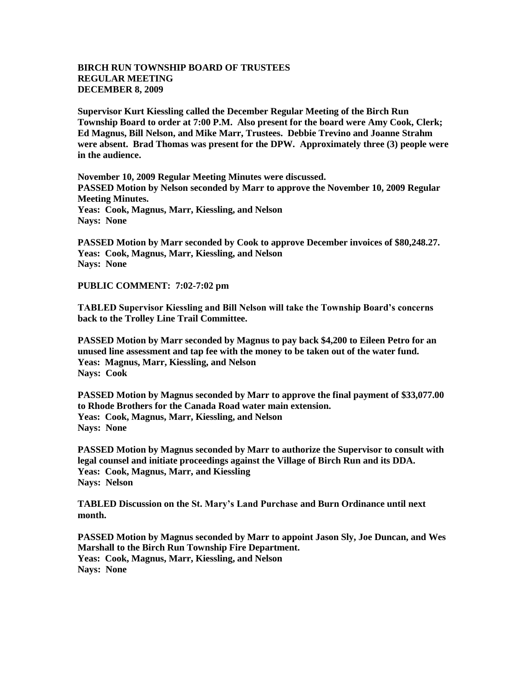## **BIRCH RUN TOWNSHIP BOARD OF TRUSTEES REGULAR MEETING DECEMBER 8, 2009**

**Supervisor Kurt Kiessling called the December Regular Meeting of the Birch Run Township Board to order at 7:00 P.M. Also present for the board were Amy Cook, Clerk; Ed Magnus, Bill Nelson, and Mike Marr, Trustees. Debbie Trevino and Joanne Strahm were absent. Brad Thomas was present for the DPW. Approximately three (3) people were in the audience.** 

**November 10, 2009 Regular Meeting Minutes were discussed. PASSED Motion by Nelson seconded by Marr to approve the November 10, 2009 Regular Meeting Minutes. Yeas: Cook, Magnus, Marr, Kiessling, and Nelson Nays: None** 

**PASSED Motion by Marr seconded by Cook to approve December invoices of \$80,248.27. Yeas: Cook, Magnus, Marr, Kiessling, and Nelson Nays: None** 

**PUBLIC COMMENT: 7:02-7:02 pm**

**TABLED Supervisor Kiessling and Bill Nelson will take the Township Board's concerns back to the Trolley Line Trail Committee.**

**PASSED Motion by Marr seconded by Magnus to pay back \$4,200 to Eileen Petro for an unused line assessment and tap fee with the money to be taken out of the water fund. Yeas: Magnus, Marr, Kiessling, and Nelson Nays: Cook**

**PASSED Motion by Magnus seconded by Marr to approve the final payment of \$33,077.00 to Rhode Brothers for the Canada Road water main extension. Yeas: Cook, Magnus, Marr, Kiessling, and Nelson Nays: None**

**PASSED Motion by Magnus seconded by Marr to authorize the Supervisor to consult with legal counsel and initiate proceedings against the Village of Birch Run and its DDA. Yeas: Cook, Magnus, Marr, and Kiessling Nays: Nelson**

**TABLED Discussion on the St. Mary's Land Purchase and Burn Ordinance until next month.**

**PASSED Motion by Magnus seconded by Marr to appoint Jason Sly, Joe Duncan, and Wes Marshall to the Birch Run Township Fire Department. Yeas: Cook, Magnus, Marr, Kiessling, and Nelson Nays: None**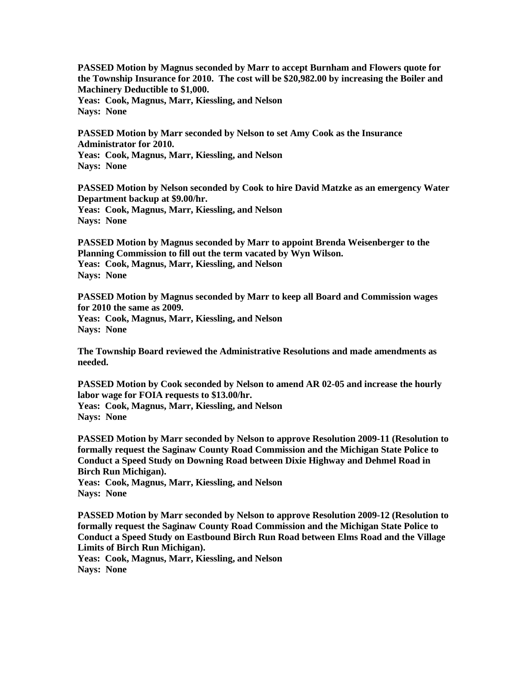**PASSED Motion by Magnus seconded by Marr to accept Burnham and Flowers quote for the Township Insurance for 2010. The cost will be \$20,982.00 by increasing the Boiler and Machinery Deductible to \$1,000. Yeas: Cook, Magnus, Marr, Kiessling, and Nelson Nays: None**

**PASSED Motion by Marr seconded by Nelson to set Amy Cook as the Insurance Administrator for 2010. Yeas: Cook, Magnus, Marr, Kiessling, and Nelson Nays: None**

**PASSED Motion by Nelson seconded by Cook to hire David Matzke as an emergency Water Department backup at \$9.00/hr. Yeas: Cook, Magnus, Marr, Kiessling, and Nelson Nays: None**

**PASSED Motion by Magnus seconded by Marr to appoint Brenda Weisenberger to the Planning Commission to fill out the term vacated by Wyn Wilson. Yeas: Cook, Magnus, Marr, Kiessling, and Nelson Nays: None**

**PASSED Motion by Magnus seconded by Marr to keep all Board and Commission wages for 2010 the same as 2009. Yeas: Cook, Magnus, Marr, Kiessling, and Nelson Nays: None**

**The Township Board reviewed the Administrative Resolutions and made amendments as needed.**

**PASSED Motion by Cook seconded by Nelson to amend AR 02-05 and increase the hourly labor wage for FOIA requests to \$13.00/hr. Yeas: Cook, Magnus, Marr, Kiessling, and Nelson Nays: None**

**PASSED Motion by Marr seconded by Nelson to approve Resolution 2009-11 (Resolution to formally request the Saginaw County Road Commission and the Michigan State Police to Conduct a Speed Study on Downing Road between Dixie Highway and Dehmel Road in Birch Run Michigan).**

**Yeas: Cook, Magnus, Marr, Kiessling, and Nelson Nays: None**

**PASSED Motion by Marr seconded by Nelson to approve Resolution 2009-12 (Resolution to formally request the Saginaw County Road Commission and the Michigan State Police to Conduct a Speed Study on Eastbound Birch Run Road between Elms Road and the Village Limits of Birch Run Michigan).**

**Yeas: Cook, Magnus, Marr, Kiessling, and Nelson Nays: None**